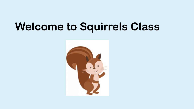#### **Welcome to Squirrels Class**

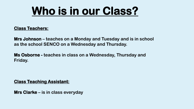#### **Who is in our Class?**

#### **Class Teachers:**

**Mrs Johnson – teaches on a Monday and Tuesday and is in school as the school SENCO on a Wednesday and Thursday.** 

**Ms Osborne - teaches in class on a Wednesday, Thursday and Friday.** 

#### **Class Teaching Assistant:**

**Mrs Clarke – is in class everyday**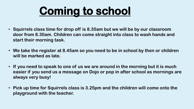### **Coming to school**

- **Squirrels class time for drop off is 8.35am but we will be by our classroom door from 8.30am. Children can come straight into class to wash hands and start their morning task.**
- **We take the register at 8.45am so you need to be in school by then or children will be marked as late.**
- **If you need to speak to one of us we are around in the morning but it is much easier if you send us a message on Dojo or pop in after school as mornings are always very busy!**
- **Pick up time for Squirrels class is 3.25pm and the children will come onto the playground with the teacher.**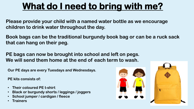#### **What do I need to bring with me?**

**Please provide your child with a named water bottle as we encourage children to drink water throughout the day.** 

**Book bags can be the traditional burgundy book bag or can be a ruck sack that can hang on their peg.**

**PE bags can now be brought into school and left on pegs. We will send them home at the end of each term to wash.** 

**Our PE days are every Tuesdays and Wednesdays.**

**PE kits consists of:**

- **Their coloured PE t-shirt**
- **Black or burgundy shorts / leggings / joggers**
- **School jumper / cardigan / fleece**
- **Trainers**



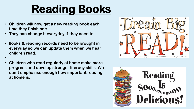## **Reading Books**

- **Children will now get a new reading book each time they finish one.**
- **They can change it everyday if they need to.**

•

- B**ooks & reading records need to be brought in everyday so we can update them when we hear children read.**
- **Children who read regularly at home make more progress and develop stronger literacy skills. We can't emphasise enough how important reading at home is.**



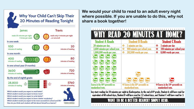

**We would your child to read to an adult every night where possible. If you are unable to do this, why not share a book together!**

| <b>Student A Reads</b>                                              | <b>Student B Reads</b>                                          | <b>Student C Reads</b>                                              |
|---------------------------------------------------------------------|-----------------------------------------------------------------|---------------------------------------------------------------------|
| 20 minutes per day.                                                 | $\Phi_{\mathbf{q}}^{\mathbf{q}}\Phi$<br>5 minutes per day.      | ÷<br>1 minute per day                                               |
| 3,600 minutes per school year.                                      | $\sigma_{\rm eff}^{\rm R}$<br>900 minutes per school year.      | 180 minutes per school year.<br>٠                                   |
| 1,800,000 words per year.                                           | 282,000 words per year.<br>$\Phi_{\mathbf{q}}^{\mathbf{q}}\Phi$ | 8,000 words per year.<br>٠                                          |
|                                                                     |                                                                 |                                                                     |
|                                                                     |                                                                 |                                                                     |
|                                                                     |                                                                 |                                                                     |
|                                                                     |                                                                 |                                                                     |
|                                                                     |                                                                 |                                                                     |
| Scores in the 90 <sup>th</sup> percentile on<br>standardized tests. | Scores in the 50th percentile on<br>standardized tests.         | Scores in the 10 <sup>th</sup> percentile on<br>standardized tests. |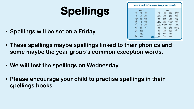# **Spellings**

• **Spellings will be set on a Friday.** 

| <b>Year 1 and 2 Common Exception Words</b>                                                                                                                                                                                                                                                                                                                          |                                                                                                                                                                                                                                                                                                                                                                                                                                                                                                                                                                                                                 |  |
|---------------------------------------------------------------------------------------------------------------------------------------------------------------------------------------------------------------------------------------------------------------------------------------------------------------------------------------------------------------------|-----------------------------------------------------------------------------------------------------------------------------------------------------------------------------------------------------------------------------------------------------------------------------------------------------------------------------------------------------------------------------------------------------------------------------------------------------------------------------------------------------------------------------------------------------------------------------------------------------------------|--|
| Year 1<br>they<br>the<br>one<br>be<br>once<br>$\alpha$<br>do<br>he<br>ask<br>friend<br>me<br>to<br>she<br>school<br>today<br>of<br>we<br>put<br>said<br>push<br>no<br>pull<br>go<br>says<br>full<br><b>SO</b><br>are<br>by<br>house<br>were<br>my<br>was<br>our<br>here<br>is<br>there<br>his<br>where<br>has<br>T<br>love<br>come<br>you<br>some<br>your<br>twinkl | Year 2<br>plant<br>clothes<br>door<br>gold<br>hold<br>path<br>floor<br>busy<br>told<br>bath<br>people<br>poor<br>because<br>hour<br>water<br>every<br>find<br>again<br>great<br>move<br>kind<br>break<br>half<br>prove<br>mind<br>steak<br>improve<br>money<br>behind<br>Mr<br>pretty<br>sure<br>child<br>beautiful<br>Mrs<br>sugar<br>children<br>after<br>parents<br>eye<br>wild<br>could<br>Christmas<br>fast<br>climb<br>should<br>last<br>everybody<br>would<br>most<br>past<br>even<br>only<br>who<br>father<br>whole<br>both<br>class<br>old<br>any<br>grass<br>cold<br>pass<br>many<br>www.twinkl.co.uk |  |

- **These spellings maybe spellings linked to their phonics and some maybe the year group's common exception words.**
- **We will test the spellings on Wednesday.**
- **Please encourage your child to practise spellings in their spellings books.**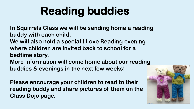### **Reading buddies**

**In Squirrels Class we will be sending home a reading buddy with each child.** 

**We will also hold a special I Love Reading evening where children are invited back to school for a bedtime story.** 

**More information will come home about our reading buddies & evenings in the next few weeks!**

**Please encourage your children to read to their reading buddy and share pictures of them on the Class Dojo page.** 

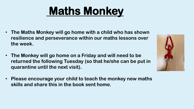## **Maths Monkey**

- **The Maths Monkey will go home with a child who has shown resilience and perseverance within our maths lessons over the week.**
- **The Monkey will go home on a Friday and will need to be returned the following Tuesday (so that he/she can be put in quarantine until the next visit).**
- **Please encourage your child to teach the monkey new maths skills and share this in the book sent home.**

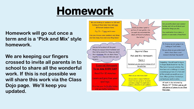#### **Homework**

**Homework will go out once a term and is a 'Pick and Mix' style homework.**

**We are keeping our fingers crossed to invite all parents in to school to share all the wonderful work. If this is not possible we will share this work via the Class Dojo page. We'll keep you updated.** 

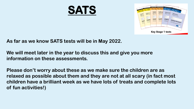



**As far as we know SATS tests will be in May 2022.** 

**We will meet later in the year to discuss this and give you more information on these assessments.** 

**Please don't worry about these as we make sure the children are as relaxed as possible about them and they are not at all scary (in fact most children have a brilliant week as we have lots of treats and complete lots of fun activities!)**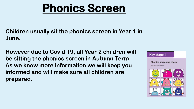#### **Phonics Screen**

**Children usually sit the phonics screen in Year 1 in June.** 

**However due to Covid 19, all Year 2 children will be sitting the phonics screen in Autumn Term. As we know more information we will keep you informed and will make sure all children are prepared.**

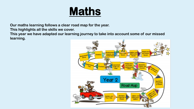

**Our maths learning follows a clear road map for the year.**

**This highlights all the skills we cover.**

**This year we have adapted our learning journey to take into account some of our missed learning.** 

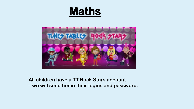#### **Maths**



#### **All children have a TT Rock Stars account – we will send home their logins and password.**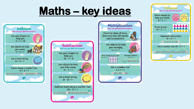### **Maths – key ideas**

**Multiplication** 

How can you find the answer?

Count in steps of twos,

fives and tens (forwards)

and backwards!)

Use objects to help

you multiply

 $5 \times 3 = ?$ 

Use a number line

 $4 \times 2 = ?$ 

012345678910

twinkl

Draw groups or an array

**Repeated addition** 

 $5 \times 5 = ?$ 

0 5 10 15 20 25